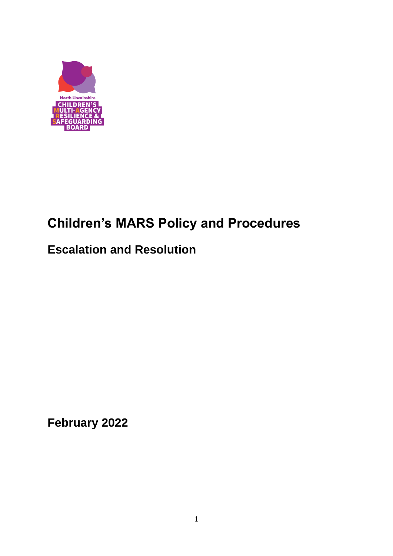

# **Children's MARS Policy and Procedures**

## **Escalation and Resolution**

**February 2022**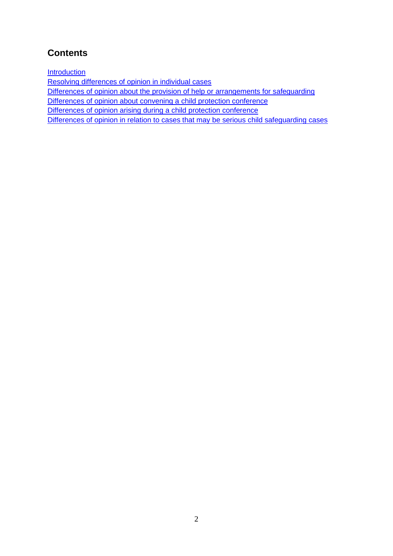## **Contents**

**[Introduction](#page-2-0)** 

[Resolving differences of opinion](#page-3-0) in individual cases

[Differences of opinion about the provision of help or arrangements for](#page-3-1) safeguarding

[Differences of opinion about convening a child protection conference](#page-4-0)

[Differences of opinion arising during a child protection conference](#page-5-0)

[Differences of opinion in relation to cases that may be serious child safeguarding cases](#page-7-0)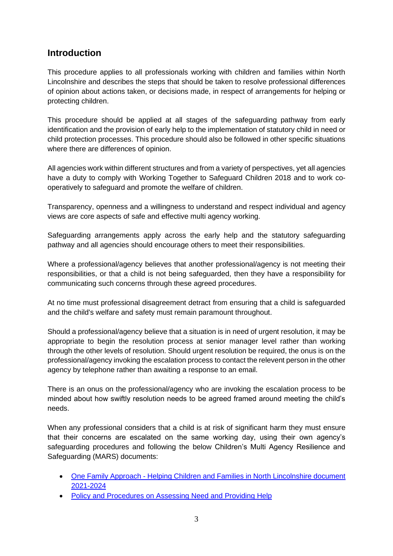## <span id="page-2-0"></span>**Introduction**

This procedure applies to all professionals working with children and families within North Lincolnshire and describes the steps that should be taken to resolve professional differences of opinion about actions taken, or decisions made, in respect of arrangements for helping or protecting children.

This procedure should be applied at all stages of the safeguarding pathway from early identification and the provision of early help to the implementation of statutory child in need or child protection processes. This procedure should also be followed in other specific situations where there are differences of opinion.

All agencies work within different structures and from a variety of perspectives, yet all agencies have a duty to comply with Working Together to Safeguard Children 2018 and to work cooperatively to safeguard and promote the welfare of children.

Transparency, openness and a willingness to understand and respect individual and agency views are core aspects of safe and effective multi agency working.

Safeguarding arrangements apply across the early help and the statutory safeguarding pathway and all agencies should encourage others to meet their responsibilities.

Where a professional/agency believes that another professional/agency is not meeting their responsibilities, or that a child is not being safeguarded, then they have a responsibility for communicating such concerns through these agreed procedures.

At no time must professional disagreement detract from ensuring that a child is safeguarded and the child's welfare and safety must remain paramount throughout.

Should a professional/agency believe that a situation is in need of urgent resolution, it may be appropriate to begin the resolution process at senior manager level rather than working through the other levels of resolution. Should urgent resolution be required, the onus is on the professional/agency invoking the escalation process to contact the relevent person in the other agency by telephone rather than awaiting a response to an email.

There is an onus on the professional/agency who are invoking the escalation process to be minded about how swiftly resolution needs to be agreed framed around meeting the child's needs.

When any professional considers that a child is at risk of significant harm they must ensure that their concerns are escalated on the same working day, using their own agency's safeguarding procedures and following the below Children's Multi Agency Resilience and Safeguarding (MARS) documents:

- One Family Approach Helping Children and Families in North Lincolnshire document [2021-2024](http://www.northlincscmars.co.uk/policies-procedures-and-guidance/)
- [Policy and Procedures on Assessing Need and Providing Help](http://www.northlincscmars.co.uk/policies-procedures-and-guidance/)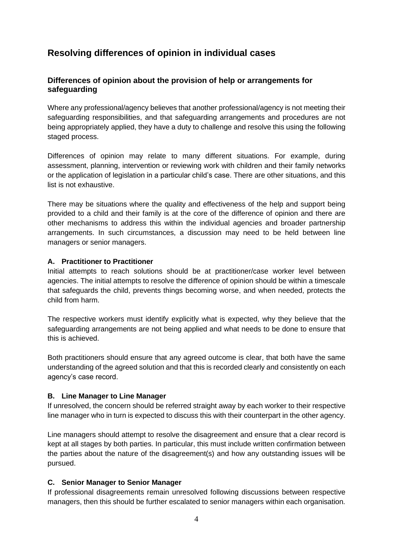## <span id="page-3-0"></span>**Resolving differences of opinion in individual cases**

#### <span id="page-3-1"></span>**Differences of opinion about the provision of help or arrangements for safeguarding**

Where any professional/agency believes that another professional/agency is not meeting their safeguarding responsibilities, and that safeguarding arrangements and procedures are not being appropriately applied, they have a duty to challenge and resolve this using the following staged process.

Differences of opinion may relate to many different situations. For example, during assessment, planning, intervention or reviewing work with children and their family networks or the application of legislation in a particular child's case. There are other situations, and this list is not exhaustive.

There may be situations where the quality and effectiveness of the help and support being provided to a child and their family is at the core of the difference of opinion and there are other mechanisms to address this within the individual agencies and broader partnership arrangements. In such circumstances, a discussion may need to be held between line managers or senior managers.

#### **A. Practitioner to Practitioner**

Initial attempts to reach solutions should be at practitioner/case worker level between agencies. The initial attempts to resolve the difference of opinion should be within a timescale that safeguards the child, prevents things becoming worse, and when needed, protects the child from harm.

The respective workers must identify explicitly what is expected, why they believe that the safeguarding arrangements are not being applied and what needs to be done to ensure that this is achieved.

Both practitioners should ensure that any agreed outcome is clear, that both have the same understanding of the agreed solution and that this is recorded clearly and consistently on each agency's case record.

#### **B. Line Manager to Line Manager**

If unresolved, the concern should be referred straight away by each worker to their respective line manager who in turn is expected to discuss this with their counterpart in the other agency.

Line managers should attempt to resolve the disagreement and ensure that a clear record is kept at all stages by both parties. In particular, this must include written confirmation between the parties about the nature of the disagreement(s) and how any outstanding issues will be pursued.

#### **C. Senior Manager to Senior Manager**

If professional disagreements remain unresolved following discussions between respective managers, then this should be further escalated to senior managers within each organisation.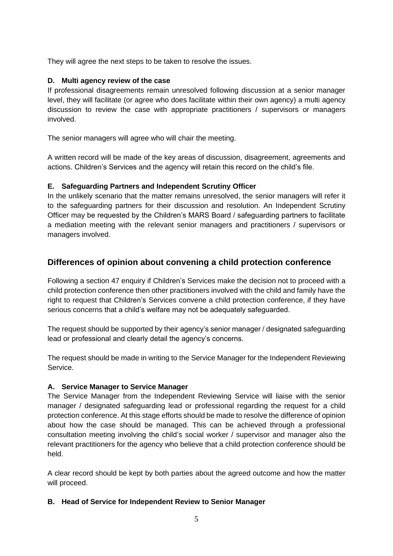They will agree the next steps to be taken to resolve the issues.

#### **D. Multi agency review of the case**

If professional disagreements remain unresolved following discussion at a senior manager level, they will facilitate (or agree who does facilitate within their own agency) a multi agency discussion to review the case with appropriate practitioners / supervisors or managers involved.

The senior managers will agree who will chair the meeting.

A written record will be made of the key areas of discussion, disagreement, agreements and actions. Children's Services and the agency will retain this record on the child's file.

#### **E. Safeguarding Partners and Independent Scrutiny Officer**

In the unlikely scenario that the matter remains unresolved, the senior managers will refer it to the safeguarding partners for their discussion and resolution. An Independent Scrutiny Officer may be requested by the Children's MARS Board / safeguarding partners to facilitate a mediation meeting with the relevant senior managers and practitioners / supervisors or managers involved.

#### <span id="page-4-0"></span>**Differences of opinion about convening a child protection conference**

Following a section 47 enquiry if Children's Services make the decision not to proceed with a child protection conference then other practitioners involved with the child and family have the right to request that Children's Services convene a child protection conference, if they have serious concerns that a child's welfare may not be adequately safeguarded.

The request should be supported by their agency's senior manager / designated safeguarding lead or professional and clearly detail the agency's concerns.

The request should be made in writing to the Service Manager for the Independent Reviewing Service.

#### **A. Service Manager to Service Manager**

The Service Manager from the Independent Reviewing Service will liaise with the senior manager / designated safeguarding lead or professional regarding the request for a child protection conference. At this stage efforts should be made to resolve the difference of opinion about how the case should be managed. This can be achieved through a professional consultation meeting involving the child's social worker / supervisor and manager also the relevant practitioners for the agency who believe that a child protection conference should be held.

A clear record should be kept by both parties about the agreed outcome and how the matter will proceed.

#### **B. Head of Service for Independent Review to Senior Manager**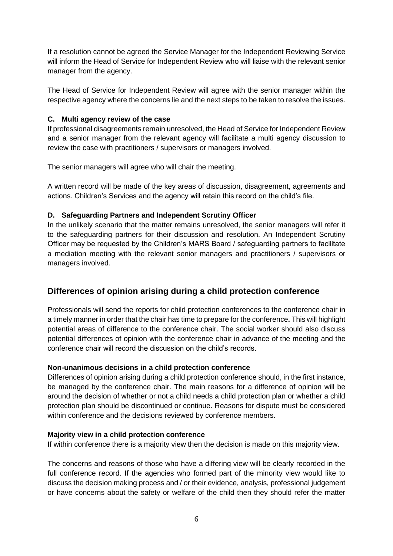If a resolution cannot be agreed the Service Manager for the Independent Reviewing Service will inform the Head of Service for Independent Review who will liaise with the relevant senior manager from the agency.

The Head of Service for Independent Review will agree with the senior manager within the respective agency where the concerns lie and the next steps to be taken to resolve the issues.

#### **C. Multi agency review of the case**

If professional disagreements remain unresolved, the Head of Service for Independent Review and a senior manager from the relevant agency will facilitate a multi agency discussion to review the case with practitioners / supervisors or managers involved.

The senior managers will agree who will chair the meeting.

A written record will be made of the key areas of discussion, disagreement, agreements and actions. Children's Services and the agency will retain this record on the child's file.

#### **D. Safeguarding Partners and Independent Scrutiny Officer**

In the unlikely scenario that the matter remains unresolved, the senior managers will refer it to the safeguarding partners for their discussion and resolution. An Independent Scrutiny Officer may be requested by the Children's MARS Board / safeguarding partners to facilitate a mediation meeting with the relevant senior managers and practitioners / supervisors or managers involved.

#### <span id="page-5-0"></span>**Differences of opinion arising during a child protection conference**

Professionals will send the reports for child protection conferences to the conference chair in a timely manner in order that the chair has time to prepare for the conference**.** This will highlight potential areas of difference to the conference chair. The social worker should also discuss potential differences of opinion with the conference chair in advance of the meeting and the conference chair will record the discussion on the child's records.

#### **Non-unanimous decisions in a child protection conference**

Differences of opinion arising during a child protection conference should, in the first instance, be managed by the conference chair. The main reasons for a difference of opinion will be around the decision of whether or not a child needs a child protection plan or whether a child protection plan should be discontinued or continue. Reasons for dispute must be considered within conference and the decisions reviewed by conference members.

#### **Majority view in a child protection conference**

If within conference there is a majority view then the decision is made on this majority view.

The concerns and reasons of those who have a differing view will be clearly recorded in the full conference record. If the agencies who formed part of the minority view would like to discuss the decision making process and / or their evidence, analysis, professional judgement or have concerns about the safety or welfare of the child then they should refer the matter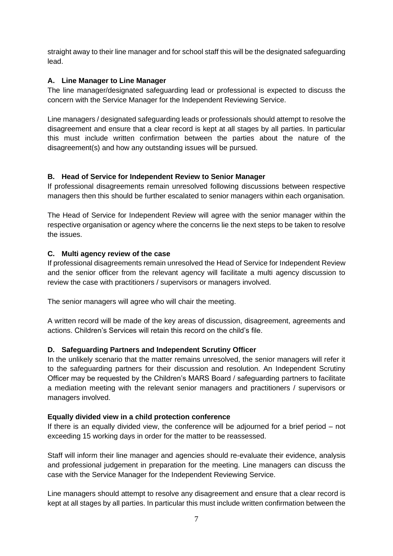straight away to their line manager and for school staff this will be the designated safeguarding lead.

#### **A. Line Manager to Line Manager**

The line manager/designated safeguarding lead or professional is expected to discuss the concern with the Service Manager for the Independent Reviewing Service.

Line managers / designated safeguarding leads or professionals should attempt to resolve the disagreement and ensure that a clear record is kept at all stages by all parties. In particular this must include written confirmation between the parties about the nature of the disagreement(s) and how any outstanding issues will be pursued.

#### **B. Head of Service for Independent Review to Senior Manager**

If professional disagreements remain unresolved following discussions between respective managers then this should be further escalated to senior managers within each organisation.

The Head of Service for Independent Review will agree with the senior manager within the respective organisation or agency where the concerns lie the next steps to be taken to resolve the issues.

#### **C. Multi agency review of the case**

If professional disagreements remain unresolved the Head of Service for Independent Review and the senior officer from the relevant agency will facilitate a multi agency discussion to review the case with practitioners / supervisors or managers involved.

The senior managers will agree who will chair the meeting.

A written record will be made of the key areas of discussion, disagreement, agreements and actions. Children's Services will retain this record on the child's file.

#### **D. Safeguarding Partners and Independent Scrutiny Officer**

In the unlikely scenario that the matter remains unresolved, the senior managers will refer it to the safeguarding partners for their discussion and resolution. An Independent Scrutiny Officer may be requested by the Children's MARS Board / safeguarding partners to facilitate a mediation meeting with the relevant senior managers and practitioners / supervisors or managers involved.

#### **Equally divided view in a child protection conference**

If there is an equally divided view, the conference will be adjourned for a brief period – not exceeding 15 working days in order for the matter to be reassessed.

Staff will inform their line manager and agencies should re-evaluate their evidence, analysis and professional judgement in preparation for the meeting. Line managers can discuss the case with the Service Manager for the Independent Reviewing Service.

Line managers should attempt to resolve any disagreement and ensure that a clear record is kept at all stages by all parties. In particular this must include written confirmation between the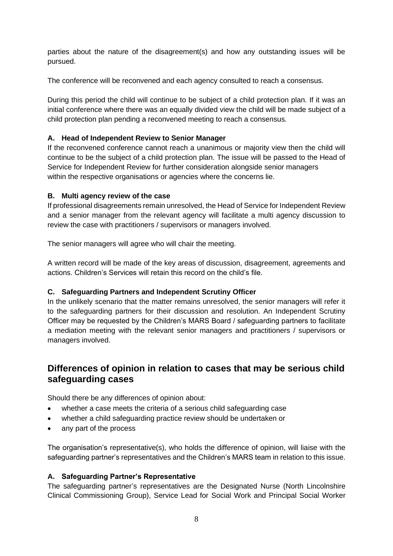parties about the nature of the disagreement(s) and how any outstanding issues will be pursued.

The conference will be reconvened and each agency consulted to reach a consensus.

During this period the child will continue to be subject of a child protection plan. If it was an initial conference where there was an equally divided view the child will be made subject of a child protection plan pending a reconvened meeting to reach a consensus.

#### **A. Head of Independent Review to Senior Manager**

If the reconvened conference cannot reach a unanimous or majority view then the child will continue to be the subject of a child protection plan. The issue will be passed to the Head of Service for Independent Review for further consideration alongside senior managers within the respective organisations or agencies where the concerns lie.

#### **B. Multi agency review of the case**

If professional disagreements remain unresolved, the Head of Service for Independent Review and a senior manager from the relevant agency will facilitate a multi agency discussion to review the case with practitioners / supervisors or managers involved.

The senior managers will agree who will chair the meeting.

A written record will be made of the key areas of discussion, disagreement, agreements and actions. Children's Services will retain this record on the child's file.

#### **C. Safeguarding Partners and Independent Scrutiny Officer**

In the unlikely scenario that the matter remains unresolved, the senior managers will refer it to the safeguarding partners for their discussion and resolution. An Independent Scrutiny Officer may be requested by the Children's MARS Board / safeguarding partners to facilitate a mediation meeting with the relevant senior managers and practitioners / supervisors or managers involved.

## <span id="page-7-0"></span>**Differences of opinion in relation to cases that may be serious child safeguarding cases**

Should there be any differences of opinion about:

- whether a case meets the criteria of a serious child safeguarding case
- whether a child safeguarding practice review should be undertaken or
- any part of the process

The organisation's representative(s), who holds the difference of opinion, will liaise with the safeguarding partner's representatives and the Children's MARS team in relation to this issue.

#### **A. Safeguarding Partner's Representative**

The safeguarding partner's representatives are the Designated Nurse (North Lincolnshire Clinical Commissioning Group), Service Lead for Social Work and Principal Social Worker